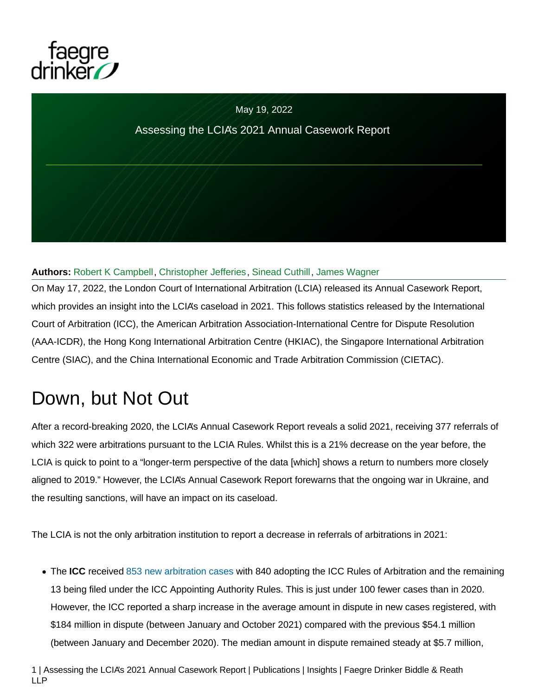

#### May 19, 2022

#### Assessing the LCIA's 2021 Annual Casework Report

#### **Authors:** [Robert K Campbell,](https://www.faegredrinker.com/en/professionals/c/campbell-robert) [Christopher Jefferies,](https://www.faegredrinker.com/en/professionals/j/jefferies-christopher) [Sinead Cuthill,](https://www.faegredrinker.com/en/professionals/c/cuthill-sinead) [James Wagner](https://www.faegredrinker.com/en/professionals/w/wagner-james)

On May 17, 2022, the London Court of International Arbitration (LCIA) released its Annual Casework Report, which provides an insight into the LCIA's caseload in 2021. This follows statistics released by the International Court of Arbitration (ICC), the American Arbitration Association-International Centre for Dispute Resolution (AAA-ICDR), the Hong Kong International Arbitration Centre (HKIAC), the Singapore International Arbitration Centre (SIAC), and the China International Economic and Trade Arbitration Commission (CIETAC).

# Down, but Not Out

After a record-breaking 2020, the LCIA's Annual Casework Report reveals a solid 2021, receiving 377 referrals of which 322 were arbitrations pursuant to the LCIA Rules. Whilst this is a 21% decrease on the year before, the LCIA is quick to point to a "longer-term perspective of the data [which] shows a return to numbers more closely aligned to 2019." However, the LCIA's Annual Casework Report forewarns that the ongoing war in Ukraine, and the resulting sanctions, will have an impact on its caseload.

The LCIA is not the only arbitration institution to report a decrease in referrals of arbitrations in 2021:

The **ICC** received [853 new arbitration cases w](https://iccwbo.org/media-wall/news-speeches/icc-unveils-preliminary-dispute-resolution-figures-for-2021/)ith 840 adopting the ICC Rules of Arbitration and the remaining 13 being filed under the ICC Appointing Authority Rules. This is just under 100 fewer cases than in 2020. However, the ICC reported a sharp increase in the average amount in dispute in new cases registered, with \$184 million in dispute (between January and October 2021) compared with the previous \$54.1 million (between January and December 2020). The median amount in dispute remained steady at \$5.7 million,

1 | Assessing the LCIA's 2021 Annual Casework Report | Publications | Insights | Faegre Drinker Biddle & Reath LLP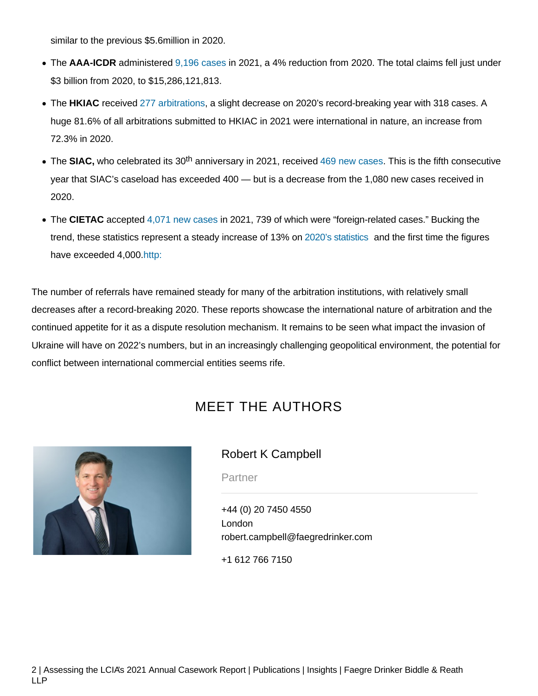similar to the previous \$5.6million in 2020.

- The **AAA-ICDR** administered [9,196 cases](https://www.adr.org/research) in 2021, a 4% reduction from 2020. The total claims fell just under \$3 billion from 2020, to \$15,286,121,813.
- The HKIAC received [277 arbitrations,](https://www.hkiac.org/about-us/statistics) a slight decrease on 2020's record-breaking year with 318 cases. A huge 81.6% of all arbitrations submitted to HKIAC in 2021 were international in nature, an increase from 72.3% in 2020.
- The SIAC, who celebrated its 30<sup>th</sup> anniversary in 2021, received [469 new cases.](https://www.siac.org.sg/newsite/index.php/70-articles-publication/190-annual-report) This is the fifth consecutive year that SIAC's caseload has exceeded 400 — but is a decrease from the 1,080 new cases received in 2020.
- The **CIETAC** accepted [4,071 new cases i](http://www.cietac.org/index.php?m=Article&a=show&id=18240&l=en)n 2021, 739 of which were "foreign-related cases." Bucking the trend, these statistics represent a steady increase of 13% on [2020's statistics](http://www.cietac.org.cn/index.php?m=Article&a=show&id=17433&l=en) and the first time the figures have exceeded 4,000[.http:](http:///)

The number of referrals have remained steady for many of the arbitration institutions, with relatively small decreases after a record-breaking 2020. These reports showcase the international nature of arbitration and the continued appetite for it as a dispute resolution mechanism. It remains to be seen what impact the invasion of Ukraine will have on 2022's numbers, but in an increasingly challenging geopolitical environment, the potential for conflict between international commercial entities seems rife.

# MEET THE AUTHORS



### [Robert K Campbell](https://www.faegredrinker.com/en/professionals/c/campbell-robert)

**Partner** 

[+44 \(0\) 20 7450 4550](tel:+44(0)2074504550) [London](https://www.faegredrinker.com/en/locations/london) [robert.campbell@faegredrinker.com](javascript:emailDisclaimer("robert.campbell",%20"faegredrinker.com"))

[+1 612 766 7150](tel:+16127667150)